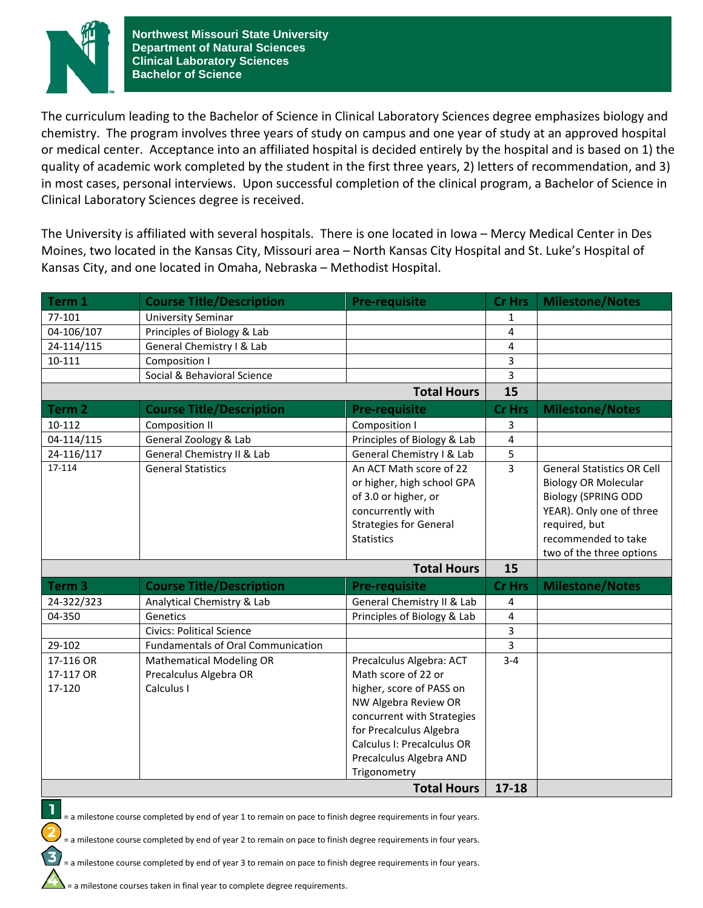

The curriculum leading to the Bachelor of Science in Clinical Laboratory Sciences degree emphasizes biology and chemistry. The program involves three years of study on campus and one year of study at an approved hospital or medical center. Acceptance into an affiliated hospital is decided entirely by the hospital and is based on 1) the quality of academic work completed by the student in the first three years, 2) letters of recommendation, and 3) in most cases, personal interviews. Upon successful completion of the clinical program, a Bachelor of Science in Clinical Laboratory Sciences degree is received.

The University is affiliated with several hospitals. There is one located in Iowa – Mercy Medical Center in Des Moines, two located in the Kansas City, Missouri area – North Kansas City Hospital and St. Luke's Hospital of Kansas City, and one located in Omaha, Nebraska – Methodist Hospital.

| Term 1             | <b>Course Title/Description</b>           | <b>Pre-requisite</b>          | <b>Cr Hrs</b> | <b>Milestone/Notes</b>            |
|--------------------|-------------------------------------------|-------------------------------|---------------|-----------------------------------|
| 77-101             | <b>University Seminar</b>                 |                               | 1             |                                   |
| 04-106/107         | Principles of Biology & Lab               |                               | 4             |                                   |
| 24-114/115         | General Chemistry I & Lab                 |                               | 4             |                                   |
| 10-111             | Composition I                             |                               | 3             |                                   |
|                    | Social & Behavioral Science               |                               | 3             |                                   |
| <b>Total Hours</b> |                                           |                               | 15            |                                   |
| Term 2             | <b>Course Title/Description</b>           | <b>Pre-requisite</b>          | <b>Cr Hrs</b> | <b>Milestone/Notes</b>            |
| 10-112             | <b>Composition II</b>                     | Composition I                 | 3             |                                   |
| 04-114/115         | General Zoology & Lab                     | Principles of Biology & Lab   | 4             |                                   |
| 24-116/117         | General Chemistry II & Lab                | General Chemistry I & Lab     | 5             |                                   |
| 17-114             | <b>General Statistics</b>                 | An ACT Math score of 22       | 3             | <b>General Statistics OR Cell</b> |
|                    |                                           | or higher, high school GPA    |               | <b>Biology OR Molecular</b>       |
|                    |                                           | of 3.0 or higher, or          |               | <b>Biology (SPRING ODD</b>        |
|                    |                                           | concurrently with             |               | YEAR). Only one of three          |
|                    |                                           | <b>Strategies for General</b> |               | required, but                     |
|                    |                                           | <b>Statistics</b>             |               | recommended to take               |
|                    |                                           |                               |               | two of the three options          |
|                    |                                           | <b>Total Hours</b>            | 15            |                                   |
| Term <sub>3</sub>  | <b>Course Title/Description</b>           | <b>Pre-requisite</b>          | <b>Cr Hrs</b> | <b>Milestone/Notes</b>            |
| 24-322/323         | Analytical Chemistry & Lab                | General Chemistry II & Lab    | 4             |                                   |
| 04-350             | Genetics                                  | Principles of Biology & Lab   | 4             |                                   |
|                    | <b>Civics: Political Science</b>          |                               | 3             |                                   |
| 29-102             | <b>Fundamentals of Oral Communication</b> |                               | 3             |                                   |
| 17-116 OR          | <b>Mathematical Modeling OR</b>           | Precalculus Algebra: ACT      | $3 - 4$       |                                   |
| 17-117 OR          | Precalculus Algebra OR                    | Math score of 22 or           |               |                                   |
| 17-120             | Calculus I                                | higher, score of PASS on      |               |                                   |
|                    |                                           | NW Algebra Review OR          |               |                                   |
|                    |                                           | concurrent with Strategies    |               |                                   |
|                    |                                           | for Precalculus Algebra       |               |                                   |
|                    |                                           | Calculus I: Precalculus OR    |               |                                   |
|                    |                                           | Precalculus Algebra AND       |               |                                   |
|                    |                                           | Trigonometry                  |               |                                   |
| <b>Total Hours</b> |                                           |                               | $17 - 18$     |                                   |



= a milestone course completed by end of year 1 to remain on pace to finish degree requirements in four years.

= a milestone course completed by end of year 2 to remain on pace to finish degree requirements in four years.

= a milestone course completed by end of year 3 to remain on pace to finish degree requirements in four years.

= a milestone courses taken in final year to complete degree requirements.